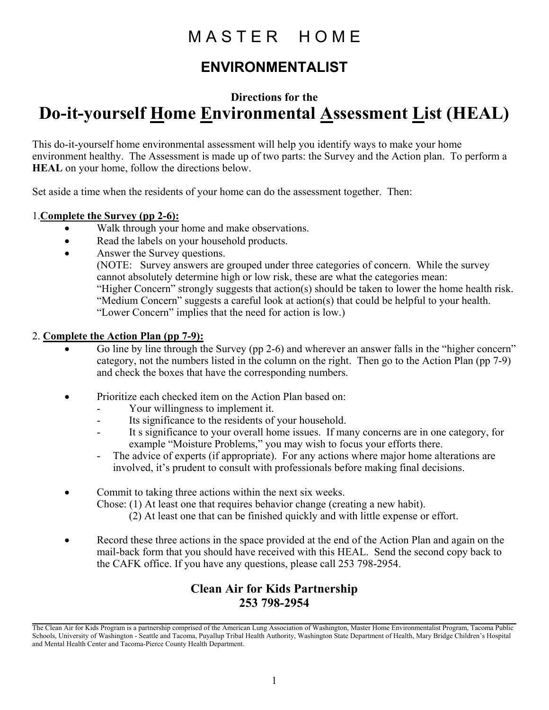### MASTER HOME

### **ENVIRONMENTALIST**

### **Directions for the Do-it-yourself Home Environmental Assessment List (HEAL)**

This do-it-yourself home environmental assessment will help you identify ways to make your home environment healthy. The Assessment is made up of two parts: the Survey and the Action plan. To perform a **HEAL** on your home, follow the directions below.

Set aside a time when the residents of your home can do the assessment together. Then:

#### 1.**Complete the Survey (pp 2-6):**

- Walk through your home and make observations.
- Read the labels on your household products.
- Answer the Survey questions.

(NOTE: Survey answers are grouped under three categories of concern. While the survey cannot absolutely determine high or low risk, these are what the categories mean: "Higher Concern" strongly suggests that action(s) should be taken to lower the home health risk. "Medium Concern" suggests a careful look at action(s) that could be helpful to your health. "Lower Concern" implies that the need for action is low.)

#### 2. **Complete the Action Plan (pp 7-9):**

- Go line by line through the Survey (pp 2-6) and wherever an answer falls in the "higher concern" category, not the numbers listed in the column on the right. Then go to the Action Plan (pp 7-9) and check the boxes that have the corresponding numbers.
- Prioritize each checked item on the Action Plan based on:
	- Your willingness to implement it.
	- Its significance to the residents of your household.
	- It s significance to your overall home issues. If many concerns are in one category, for example "Moisture Problems," you may wish to focus your efforts there.
	- The advice of experts (if appropriate). For any actions where major home alterations are involved, it's prudent to consult with professionals before making final decisions.
- Commit to taking three actions within the next six weeks. Chose: (1) At least one that requires behavior change (creating a new habit).
	- (2) At least one that can be finished quickly and with little expense or effort.
- Record these three actions in the space provided at the end of the Action Plan and again on the mail-back form that you should have received with this HEAL. Send the second copy back to the CAFK office. If you have any questions, please call 253 798-2954.

#### **Clean Air for Kids Partnership 253 798-2954**

The Clean Air for Kids Program is a partnership comprised of the American Lung Association of Washington, Master Home Environmentalist Program, Tacoma Public Schools, University of Washington - Seattle and Tacoma, Puyallup Tribal Health Authority, Washington State Department of Health, Mary Bridge Children's Hospital and Mental Health Center and Tacoma-Pierce County Health Department.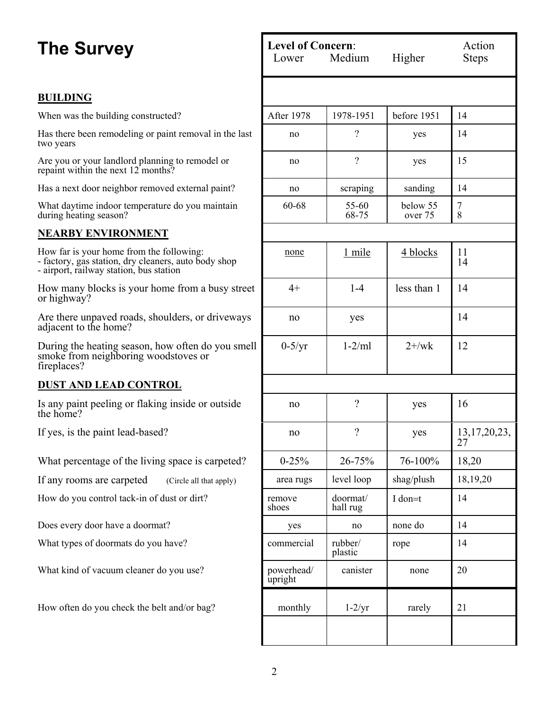#### **BUILDING**

When was the building constructed?

Has there been remodeling or paint removal in the last two years

Are you or your landlord planning to remodel or repaint within the next 12 months?

Has a next door neighbor removed external paint?

What daytime indoor temperature do you maintain during heating season?

#### **NEARBY ENVIRONMENT**

How far is your home from the following: - factory, gas station, dry cleaners, auto body shop - airport, railway station, bus station

How many blocks is your home from a busy street or highway?

Are there unpaved roads, shoulders, or driveways adjacent to the home?

During the heating season, how often do you smell smoke from neighboring woodstoves or fireplaces?

#### **DUST AND LEAD CONTROL**

Is any paint peeling or flaking inside or outside the home?

If yes, is the paint lead-based?

What percentage of the living space is carpeted?

If any rooms are carpeted  $(Circle \text{ all that apply})$ 

How do you control tack-in of dust or dirt?

Does every door have a doormat?

What types of doormats do you have?

What kind of vacuum cleaner do you use?

How often do you check the belt and/or bag?

| <b>Level of Concern:</b><br>Medium<br>Lower |                          | Higher              | Action<br><b>Steps</b> |  |
|---------------------------------------------|--------------------------|---------------------|------------------------|--|
|                                             |                          |                     |                        |  |
| After 1978                                  | 1978-1951                | before 1951         | 14                     |  |
| no                                          | $\overline{\mathcal{C}}$ | yes                 | 14                     |  |
| no                                          | $\overline{\mathcal{L}}$ | yes                 | 15                     |  |
| no                                          | scraping                 | sanding             | 14                     |  |
| 60-68                                       | 55-60<br>68-75           | below 55<br>over 75 | 7<br>$\dot{8}$         |  |
|                                             |                          |                     |                        |  |
| none                                        | 1 mile                   | 4 blocks            | 11<br>14               |  |
| $4+$                                        | $1-4$                    | less than 1         | 14                     |  |
| no                                          | yes                      |                     | 14                     |  |
| $0-5/yr$                                    | $1-2/ml$                 | $2 + / wk$          | 12                     |  |
|                                             |                          |                     |                        |  |
| no                                          | $\overline{\mathcal{L}}$ | yes                 | 16                     |  |
| no                                          | $\gamma$                 | yes                 | 13, 17, 20, 23, 27     |  |
| $0 - 25%$                                   | 26-75%                   | 76-100%             | 18,20                  |  |
| area rugs                                   | level loop               | shag/plush          | 18,19,20               |  |
| remove<br>shoes                             | doormat/<br>hall rug     | I don=t             | 14                     |  |
| yes                                         | no                       | none do             | 14                     |  |
| commercial                                  | rubber/<br>plastic       | rope                | 14                     |  |
| powerhead/<br>upright                       | canister                 | none                | 20                     |  |
| monthly                                     | $1-2/yr$                 | rarely              | 21                     |  |
|                                             |                          |                     |                        |  |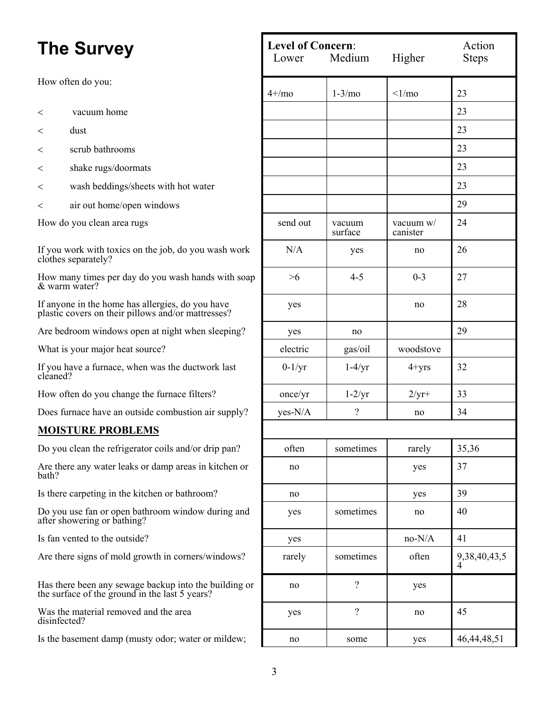- $\langle$  vacuum home
- 
- < scrub bathrooms 23
- < shake rugs/doormats 23
- < wash beddings/sheets with hot water 23
- < air out home/open windows 29

#### **MOISTURE PROBLEMS**

| <b>The Survey</b><br>How often do you:                                                                  |                                                       | <b>Level of Concern:</b><br>Medium<br>Higher<br>Lower |                          |                         | Action<br><b>Steps</b> |
|---------------------------------------------------------------------------------------------------------|-------------------------------------------------------|-------------------------------------------------------|--------------------------|-------------------------|------------------------|
|                                                                                                         |                                                       | $4 + / m$                                             | $1-3/m0$                 | $\langle$ 1/mo          | 23                     |
| $\,<\,$                                                                                                 | vacuum home                                           |                                                       |                          |                         | 23                     |
| $\,<\,$                                                                                                 | dust                                                  |                                                       |                          |                         | 23                     |
| $\,<\,$                                                                                                 | scrub bathrooms                                       |                                                       |                          |                         | 23                     |
| $\,<\,$                                                                                                 | shake rugs/doormats                                   |                                                       |                          |                         | 23                     |
| $\,<\,$                                                                                                 | wash beddings/sheets with hot water                   |                                                       |                          |                         | 23                     |
| $\,<\,$                                                                                                 | air out home/open windows                             |                                                       |                          |                         | 29                     |
| How do you clean area rugs                                                                              |                                                       | send out                                              | vacuum<br>surface        | vacuum $w/$<br>canister | 24                     |
| If you work with toxics on the job, do you wash work<br>clothes separately?                             |                                                       | N/A                                                   | yes                      | no                      | 26                     |
| How many times per day do you wash hands with soap<br>& warm water?                                     |                                                       | >6                                                    | $4 - 5$                  | $0 - 3$                 | 27                     |
| If anyone in the home has allergies, do you have<br>plastic covers on their pillows and/or mattresses?  |                                                       | yes                                                   |                          | no                      | 28                     |
|                                                                                                         | Are bedroom windows open at night when sleeping?      | yes                                                   | no                       |                         | 29                     |
|                                                                                                         | What is your major heat source?                       | electric                                              | gas/oil                  | woodstove               |                        |
| If you have a furnace, when was the ductwork last<br>cleaned?                                           |                                                       | $0-1/yr$                                              | $1-4/yr$                 | $4 + yrs$               | 32                     |
|                                                                                                         | How often do you change the furnace filters?          | once/yr                                               | $1-2/yr$                 | $2/yr+$                 | 33                     |
|                                                                                                         | Does furnace have an outside combustion air supply?   | yes-N/A                                               | $\overline{\mathcal{L}}$ | no                      | 34                     |
|                                                                                                         | <b>MOISTURE PROBLEMS</b>                              |                                                       |                          |                         |                        |
|                                                                                                         | Do you clean the refrigerator coils and/or drip pan?  | often                                                 | sometimes                | rarely                  | 35,36                  |
| bath?                                                                                                   | Are there any water leaks or damp areas in kitchen or | no                                                    |                          | yes                     | 37                     |
| Is there carpeting in the kitchen or bathroom?                                                          |                                                       | no                                                    |                          | yes                     | 39                     |
| Do you use fan or open bathroom window during and<br>after showering or bathing?                        |                                                       | yes                                                   | sometimes                | no                      | 40                     |
| Is fan vented to the outside?                                                                           |                                                       | yes                                                   |                          | $no-N/A$                | 41                     |
| Are there signs of mold growth in corners/windows?                                                      |                                                       | rarely                                                | sometimes                | often                   | 9,38,40,43,5           |
| Has there been any sewage backup into the building or<br>the surface of the ground in the last 5 years? |                                                       | no                                                    | $\gamma$                 | yes                     |                        |
| Was the material removed and the area<br>disinfected?                                                   |                                                       | yes                                                   | $\gamma$                 | no                      | 45                     |
| Is the basement damp (musty odor; water or mildew;                                                      |                                                       | no                                                    | some                     | yes                     | 46, 44, 48, 51         |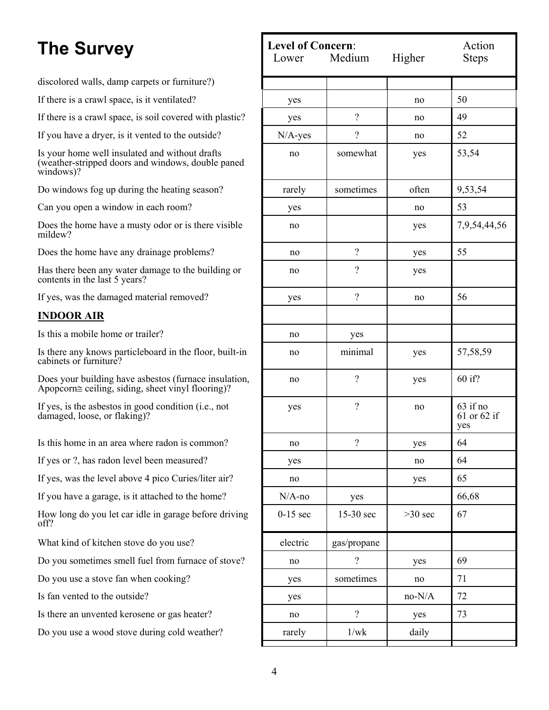discolored walls, damp carpets or furniture?)

If there is a crawl space, is it ventilated?

If there is a crawl space, is soil covered with plastic?

If you have a dryer, is it vented to the outside?

Is your home well insulated and without drafts (weather-stripped doors and windows, double paned windows)?

Do windows fog up during the heating season?

Can you open a window in each room?

Does the home have a musty odor or is there visible mildew?

Does the home have any drainage problems?

Has there been any water damage to the building or contents in the last 5 years?

If yes, was the damaged material removed?

#### **INDOOR AIR**

Is this a mobile home or trailer?

Is there any knows particleboard in the floor, built-in cabinets or furniture?

Does your building have asbestos (furnace insulation, Αpopcorn≅ ceiling, siding, sheet vinyl flooring)?

If yes, is the asbestos in good condition (i.e., not damaged, loose, or flaking)?

Is this home in an area where radon is common?

If yes or ?, has radon level been measured?

If yes, was the level above 4 pico Curies/liter air?

If you have a garage, is it attached to the home?

How long do you let car idle in garage before driving off?

What kind of kitchen stove do you use?

Do you sometimes smell fuel from furnace of stove?

Do you use a stove fan when cooking?

Is fan vented to the outside?

Is there an unvented kerosene or gas heater?

Do you use a wood stove during cold weather?

| <b>Level of Concern:</b><br>Lower Medium |                          | Higher    | Action<br><b>Steps</b>         |  |
|------------------------------------------|--------------------------|-----------|--------------------------------|--|
|                                          |                          |           |                                |  |
| yes                                      |                          | no        | 50                             |  |
| yes                                      | $\overline{\mathcal{L}}$ | no        | 49                             |  |
| $N/A$ -yes                               | $\overline{\mathcal{L}}$ | no        | 52                             |  |
| no                                       | somewhat                 | yes       | 53,54                          |  |
| rarely                                   | sometimes                | often     | 9,53,54                        |  |
| yes                                      |                          | 53<br>no  |                                |  |
| no                                       |                          | yes       | 7,9,54,44,56                   |  |
| no                                       | $\overline{\mathcal{C}}$ | yes       | 55                             |  |
| no                                       | $\overline{\mathcal{L}}$ | yes       |                                |  |
| yes                                      | $\gamma$                 | no        | 56                             |  |
|                                          |                          |           |                                |  |
| no                                       | yes                      |           |                                |  |
| no                                       | minimal                  | yes       | 57,58,59                       |  |
| no                                       | $\overline{\mathcal{L}}$ | yes       | 60 if?                         |  |
| yes                                      | $\overline{\mathcal{L}}$ | no        | 63 if no<br>61 or 62 if<br>yes |  |
| no                                       | $\gamma$                 | yes       | 64                             |  |
| yes                                      |                          | no        | 64                             |  |
| no                                       |                          | yes       | 65                             |  |
| $N/A$ -no                                | yes                      |           | 66,68                          |  |
| $0-15$ sec                               | 15-30 sec                | $>30$ sec | 67                             |  |
| electric                                 | gas/propane              |           |                                |  |
| no                                       | $\overline{\mathcal{C}}$ | yes       | 69                             |  |
| yes                                      | sometimes                | no        | 71                             |  |
| yes                                      |                          | $no-N/A$  | 72                             |  |
| no                                       | $\overline{?}$           | yes       | 73                             |  |
| rarely                                   | $1/wk$                   | daily     |                                |  |
|                                          |                          |           |                                |  |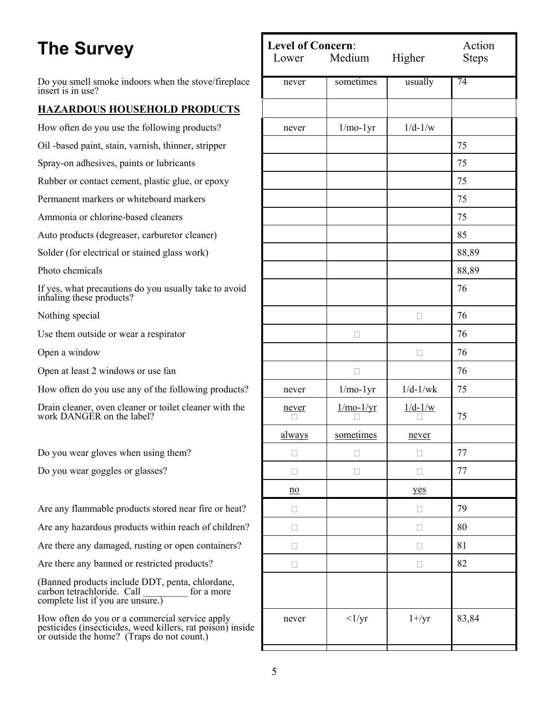Do you smell smoke indoors when the stove/fireplace insert is in use?

#### **HAZARDOUS HOUSEHOLD PRODUCTS**

How often do you use the following products?

Oil -based paint, stain, varnish, thinner, stripper

Spray-on adhesives, paints or lubricants

Rubber or contact cement, plastic glue, or epoxy

Permanent markers or whiteboard markers

Ammonia or chlorine-based cleaners

Auto products (degreaser, carburetor cleaner)

Solder (for electrical or stained glass work)

Photo chemicals

If yes, what precautions do you usually take to avoid  $\frac{76}{5}$ 

Nothing special

Use them outside or wear a respirator

Open a window

Open at least 2 windows or use fan

How often do you use any of the following products?

Drain cleaner, oven cleaner or toilet cleaner with the work DANGER on the label?

Do you wear gloves when using them?

Do you wear goggles or glasses?

Are any flammable products stored near fire or heat?

Are any hazardous products within reach of children?

Are there any damaged, rusting or open containers?

Are there any banned or restricted products?

(Banned products include DDT, penta, chlordane, carbon tetrachloride. Call complete list if you are unsure.)

How often do you or a commercial service apply pesticides (insecticides, weed killers, rat poison) inside or outside the home? (Traps do not count.)

| Lower            | <b>Level of Concern:</b><br>Medium |            | Action<br><b>Steps</b> |  |
|------------------|------------------------------------|------------|------------------------|--|
| never            | sometimes                          | usually    | 74                     |  |
|                  |                                    |            |                        |  |
| never            | $1/mo-1yr$                         | $1/d-1/w$  |                        |  |
|                  |                                    |            | 75                     |  |
|                  |                                    |            | 75                     |  |
|                  |                                    |            | 75                     |  |
|                  |                                    |            | 75                     |  |
|                  |                                    |            | 75                     |  |
|                  |                                    |            | 85                     |  |
|                  |                                    |            | 88,89                  |  |
|                  |                                    |            | 88,89                  |  |
|                  |                                    |            | 76                     |  |
|                  |                                    | П          | 76                     |  |
|                  |                                    |            | 76                     |  |
|                  |                                    | П          | 76                     |  |
|                  | П                                  |            | 76                     |  |
| never            | $1/mo-1yr$                         | $1/d-1/wk$ | 75                     |  |
| never            | $1/mo-1/yr$                        | $1/d-1/w$  | 75                     |  |
| always           | sometimes                          | never      |                        |  |
|                  | Ш                                  | П          | $77 \,$                |  |
|                  | П                                  | П          | $77 \,$                |  |
| $\underline{no}$ |                                    | yes        |                        |  |
|                  |                                    | П          | 79                     |  |
|                  |                                    |            | 80                     |  |
|                  |                                    |            | 81                     |  |
| П                |                                    | П          | 82                     |  |
|                  |                                    |            |                        |  |
| never            | $\langle 1/yr$                     | $1 + /yr$  | 83,84                  |  |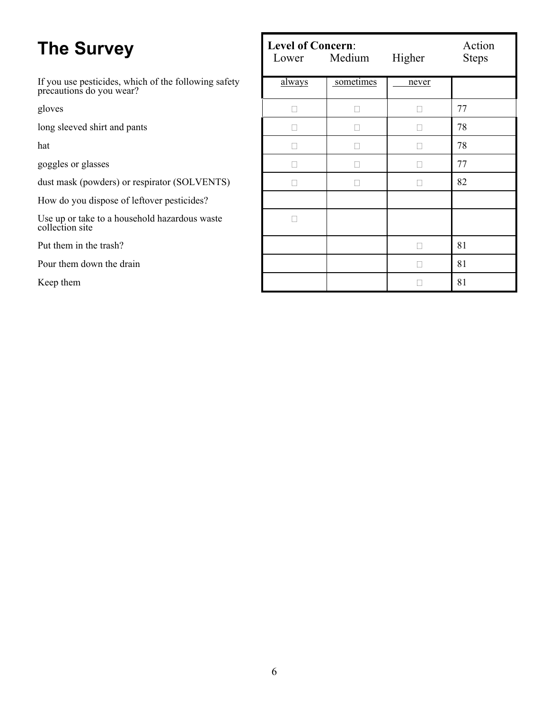| <b>The Survey</b>                                                                | <b>Level of Concern:</b><br>Medium<br>Lower |           | Higher | Action<br><b>Steps</b> |
|----------------------------------------------------------------------------------|---------------------------------------------|-----------|--------|------------------------|
| If you use pesticides, which of the following safety<br>precautions do you wear? | <u>always</u>                               | sometimes | never  |                        |
| gloves                                                                           | $\Box$                                      | П         | Ш      | 77                     |
| long sleeved shirt and pants                                                     | П                                           | П         |        | 78                     |
| hat                                                                              | П                                           | П         | Ш      | 78                     |
| goggles or glasses                                                               | $\Box$                                      | П         | Ш      | 77                     |
| dust mask (powders) or respirator (SOLVENTS)                                     | П                                           | П         |        | 82                     |
| How do you dispose of leftover pesticides?                                       |                                             |           |        |                        |
| Use up or take to a household hazardous waste<br>collection site                 |                                             |           |        |                        |
| Put them in the trash?                                                           |                                             |           |        | 81                     |
| Pour them down the drain                                                         |                                             |           | П      | 81                     |
| Keep them                                                                        |                                             |           |        | 81                     |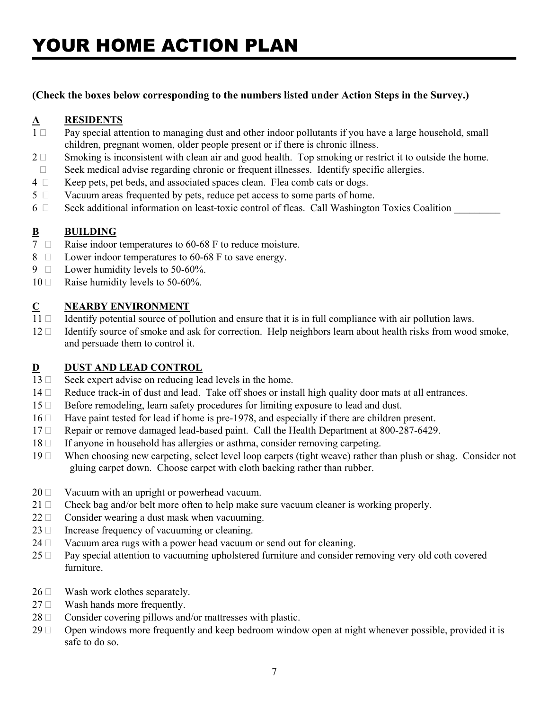#### **(Check the boxes below corresponding to the numbers listed under Action Steps in the Survey.)**

#### **A RESIDENTS**

- $1 \Box$  Pay special attention to managing dust and other indoor pollutants if you have a large household, small children, pregnant women, older people present or if there is chronic illness.
- $2 \Box$  Smoking is inconsistent with clean air and good health. Top smoking or restrict it to outside the home.
- $\Box$  Seek medical advise regarding chronic or frequent illnesses. Identify specific allergies.
- $4 \Box$  Keep pets, pet beds, and associated spaces clean. Flea comb cats or dogs.
- $5 \Box$  Vacuum areas frequented by pets, reduce pet access to some parts of home.
- 6  $\Box$  Seek additional information on least-toxic control of fleas. Call Washington Toxics Coalition

#### **B BUILDING**

- 7  $\Box$  Raise indoor temperatures to 60-68 F to reduce moisture.
- 8  $\Box$  Lower indoor temperatures to 60-68 F to save energy.
- 9  $\Box$  Lower humidity levels to 50-60%.
- $10 \Box$  Raise humidity levels to 50-60%.

#### **C NEARBY ENVIRONMENT**

- 11  $\Box$  Identify potential source of pollution and ensure that it is in full compliance with air pollution laws.
- $12 \Box$  Identify source of smoke and ask for correction. Help neighbors learn about health risks from wood smoke, and persuade them to control it.

#### **D** DUST AND LEAD CONTROL

- $13 \Box$  Seek expert advise on reducing lead levels in the home.
- $14 \Box$  Reduce track-in of dust and lead. Take off shoes or install high quality door mats at all entrances.
- $15 \Box$  Before remodeling, learn safety procedures for limiting exposure to lead and dust.
- 16  $\Box$  Have paint tested for lead if home is pre-1978, and especially if there are children present.
- 17  $\Box$  Repair or remove damaged lead-based paint. Call the Health Department at 800-287-6429.
- $18 \Box$  If anyone in household has allergies or asthma, consider removing carpeting.
- 19  $\Box$  When choosing new carpeting, select level loop carpets (tight weave) rather than plush or shag. Consider not gluing carpet down. Choose carpet with cloth backing rather than rubber.
- $20 \Box$  Vacuum with an upright or powerhead vacuum.
- 21  $\Box$  Check bag and/or belt more often to help make sure vacuum cleaner is working properly.
- $22 \Box$  Consider wearing a dust mask when vacuuming.
- $23 \Box$  Increase frequency of vacuuming or cleaning.
- $24 \Box$  Vacuum area rugs with a power head vacuum or send out for cleaning.
- $25 \Box$  Pay special attention to vacuuming upholstered furniture and consider removing very old coth covered furniture.
- $26 \Box$  Wash work clothes separately.
- $27 \Box$  Wash hands more frequently.
- $28 \Box$  Consider covering pillows and/or mattresses with plastic.
- $29 \Box$  Open windows more frequently and keep bedroom window open at night whenever possible, provided it is safe to do so.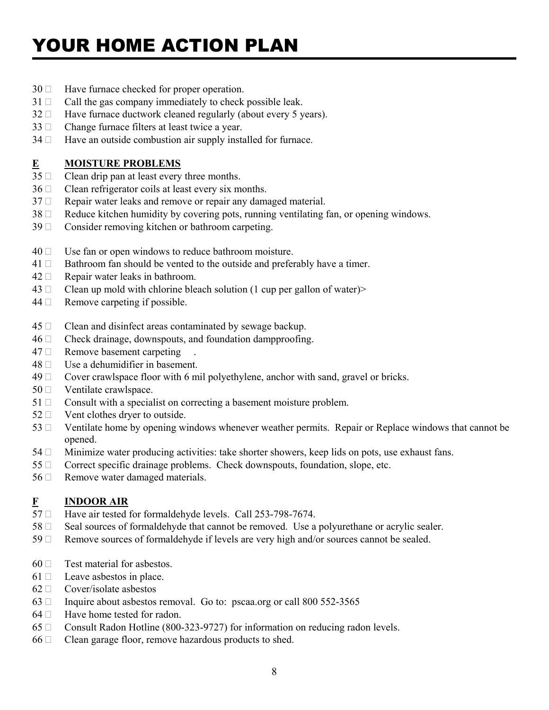# YOUR HOME ACTION PLAN

- $30 \Box$  Have furnace checked for proper operation.
- $31 \Box$  Call the gas company immediately to check possible leak.
- $32 \Box$  Have furnace ductwork cleaned regularly (about every 5 years).
- $33 \Box$  Change furnace filters at least twice a year.
- $34 \Box$  Have an outside combustion air supply installed for furnace.

#### **E MOISTURE PROBLEMS**

- $35 \Box$  Clean drip pan at least every three months.
- $36 \Box$  Clean refrigerator coils at least every six months.
- $37 \Box$  Repair water leaks and remove or repair any damaged material.
- $38 \Box$  Reduce kitchen humidity by covering pots, running ventilating fan, or opening windows.
- $39 \Box$  Consider removing kitchen or bathroom carpeting.
- $40 \Box$  Use fan or open windows to reduce bathroom moisture.
- $41 \Box$  Bathroom fan should be vented to the outside and preferably have a timer.
- $42 \Box$  Repair water leaks in bathroom.
- $43 \Box$  Clean up mold with chlorine bleach solution (1 cup per gallon of water)
- $44 \Box$  Remove carpeting if possible.
- $45 \Box$  Clean and disinfect areas contaminated by sewage backup.
- $46 \Box$  Check drainage, downspouts, and foundation dampproofing.
- $47 \Box$  Remove basement carpeting
- $48 \Box$  Use a dehumidifier in basement.
- $49 \Box$  Cover crawlspace floor with 6 mil polyethylene, anchor with sand, gravel or bricks.
- $50 \Box$  Ventilate crawlspace.
- $51 \Box$  Consult with a specialist on correcting a basement moisture problem.
- $52 \Box$  Vent clothes dryer to outside.
- 53  $\Box$  Ventilate home by opening windows whenever weather permits. Repair or Replace windows that cannot be opened.
- $54 \Box$  Minimize water producing activities: take shorter showers, keep lids on pots, use exhaust fans.
- $55 \Box$  Correct specific drainage problems. Check downspouts, foundation, slope, etc.
- $56 \Box$  Remove water damaged materials.

#### **F INDOOR AIR**

- $57 \Box$  Have air tested for formaldehyde levels. Call 253-798-7674.
- $58 \Box$  Seal sources of formaldehyde that cannot be removed. Use a polyurethane or acrylic sealer.
- 59  $\Box$  Remove sources of formaldehyde if levels are very high and/or sources cannot be sealed.
- $60 \Box$  Test material for asbestos.
- $61 \Box$  Leave asbestos in place.
- $62 \Box$  Cover/isolate asbestos
- $63$   $\Box$  Inquire about asbestos removal. Go to: pscaa.org or call 800 552-3565
- $64 \Box$  Have home tested for radon.
- 65  $\Box$  Consult Radon Hotline (800-323-9727) for information on reducing radon levels.
- $66 \Box$  Clean garage floor, remove hazardous products to shed.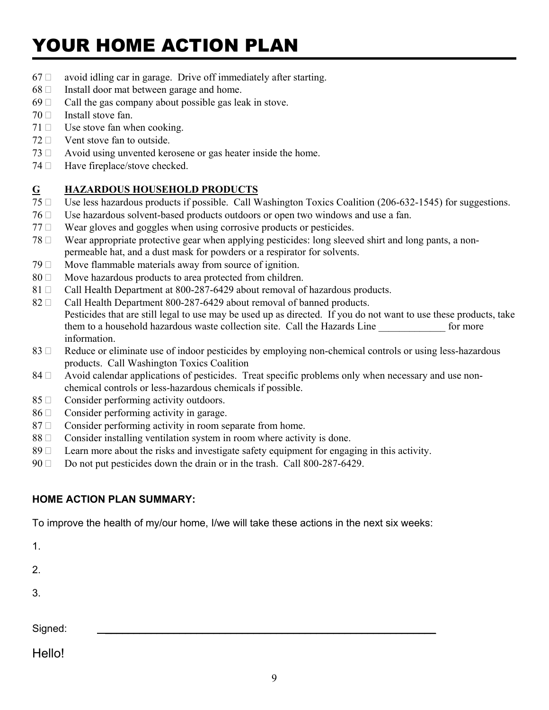# YOUR HOME ACTION PLAN

- $67 \Box$  avoid idling car in garage. Drive off immediately after starting.
- $68 \Box$  Install door mat between garage and home.
- $69 \Box$  Call the gas company about possible gas leak in stove.
- $70 \Box$  Install stove fan.
- $71 \Box$  Use stove fan when cooking.
- $72 \Box$  Vent stove fan to outside.
- $73 \Box$  Avoid using unvented kerosene or gas heater inside the home.
- $74 \Box$  Have fireplace/stove checked.

#### **G HAZARDOUS HOUSEHOLD PRODUCTS**

- 75 □ Use less hazardous products if possible. Call Washington Toxics Coalition (206-632-1545) for suggestions.
- 76  $\Box$  Use hazardous solvent-based products outdoors or open two windows and use a fan.
- $77 \Box$  Wear gloves and goggles when using corrosive products or pesticides.
- $78 \Box$  Wear appropriate protective gear when applying pesticides: long sleeved shirt and long pants, a nonpermeable hat, and a dust mask for powders or a respirator for solvents.
- $79 \Box$  Move flammable materials away from source of ignition.
- $80 \Box$  Move hazardous products to area protected from children.
- 81  $\Box$  Call Health Department at 800-287-6429 about removal of hazardous products.
- 82  $\Box$  Call Health Department 800-287-6429 about removal of banned products. Pesticides that are still legal to use may be used up as directed. If you do not want to use these products, take them to a household hazardous waste collection site. Call the Hazards Line for more information.
- 83  $\Box$  Reduce or eliminate use of indoor pesticides by employing non-chemical controls or using less-hazardous products. Call Washington Toxics Coalition
- 84  $\Box$  Avoid calendar applications of pesticides. Treat specific problems only when necessary and use nonchemical controls or less-hazardous chemicals if possible.
- $85 \Box$  Consider performing activity outdoors.
- $86 \Box$  Consider performing activity in garage.
- $87 \Box$  Consider performing activity in room separate from home.
- $88 \Box$  Consider installing ventilation system in room where activity is done.
- 89  $\Box$  Learn more about the risks and investigate safety equipment for engaging in this activity.
- $90 \Box$  Do not put pesticides down the drain or in the trash. Call 800-287-6429.

#### **HOME ACTION PLAN SUMMARY:**

To improve the health of my/our home, I/we will take these actions in the next six weeks:

1.

2.

3.

 $Signed:$ 

Hello!